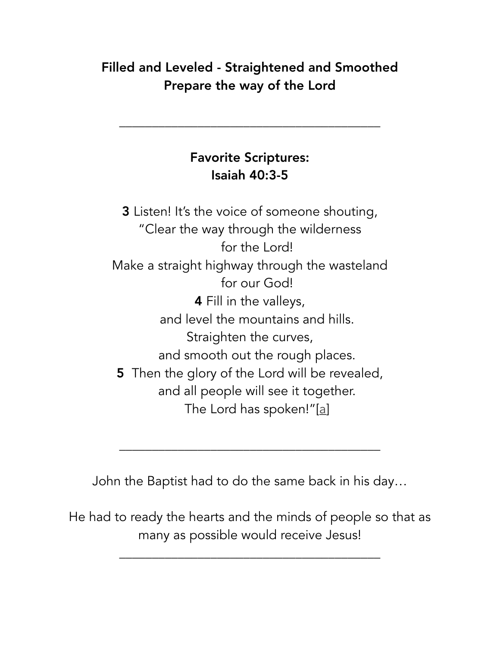## Filled and Leveled - Straightened and Smoothed Prepare the way of the Lord

## Favorite Scriptures: Isaiah 40:3-5

\_\_\_\_\_\_\_\_\_\_\_\_\_\_\_\_\_\_\_\_\_\_\_\_\_\_\_\_\_\_\_\_\_\_\_\_\_\_\_\_

3 Listen! It's the voice of someone shouting, "Clear the way through the wilderness for the Lord! Make a straight highway through the wasteland for our God! 4 Fill in the valleys, and level the mountains and hills. Straighten the curves, and smooth out the rough places. 5 Then the glory of the Lord will be revealed, and all people will see it together. The Lord has spoken!"[\[a\]](https://www.biblegateway.com/passage/?search=Isaiah+40&version=NLT#fen-NLT-18402a)

John the Baptist had to do the same back in his day…

\_\_\_\_\_\_\_\_\_\_\_\_\_\_\_\_\_\_\_\_\_\_\_\_\_\_\_\_\_\_\_\_\_\_\_\_\_\_\_\_

He had to ready the hearts and the minds of people so that as many as possible would receive Jesus!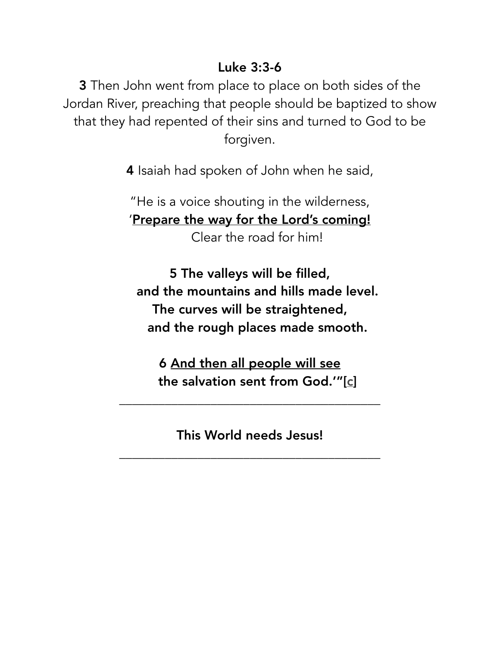#### Luke 3:3-6

**3** Then John went from place to place on both sides of the Jordan River, preaching that people should be baptized to show that they had repented of their sins and turned to God to be forgiven.

4 Isaiah had spoken of John when he said,

"He is a voice shouting in the wilderness, 'Prepare the way for the Lord's coming! Clear the road for him!

5 The valleys will be filled, and the mountains and hills made level. The curves will be straightened, and the rough places made smooth.

6 And then all people will see the salvation sent from God.'"[[c\]](https://www.biblegateway.com/passage/?search=Luke+3&version=NLT#fen-NLT-25000c)

This World needs Jesus!

\_\_\_\_\_\_\_\_\_\_\_\_\_\_\_\_\_\_\_\_\_\_\_\_\_\_\_\_\_\_\_\_\_\_\_\_\_\_\_\_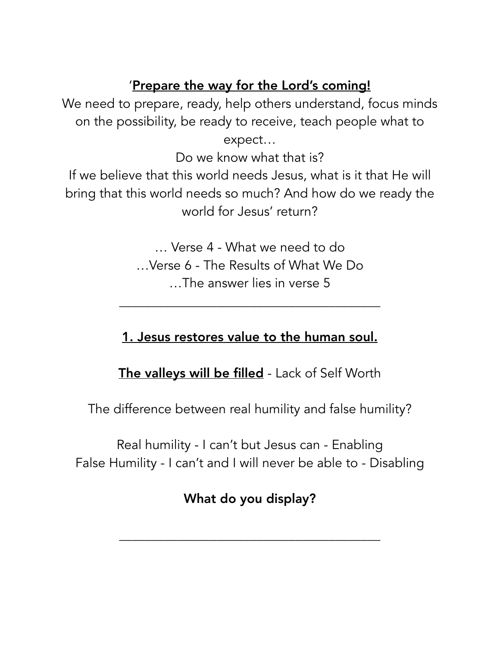#### 'Prepare the way for the Lord's coming!

We need to prepare, ready, help others understand, focus minds on the possibility, be ready to receive, teach people what to expect…

Do we know what that is?

If we believe that this world needs Jesus, what is it that He will bring that this world needs so much? And how do we ready the world for Jesus' return?

> … Verse 4 - What we need to do …Verse 6 - The Results of What We Do …The answer lies in verse 5

\_\_\_\_\_\_\_\_\_\_\_\_\_\_\_\_\_\_\_\_\_\_\_\_\_\_\_\_\_\_\_\_\_\_\_\_\_\_\_\_

## 1. Jesus restores value to the human soul.

The valleys will be filled - Lack of Self Worth

The difference between real humility and false humility?

Real humility - I can't but Jesus can - Enabling False Humility - I can't and I will never be able to - Disabling

# What do you display?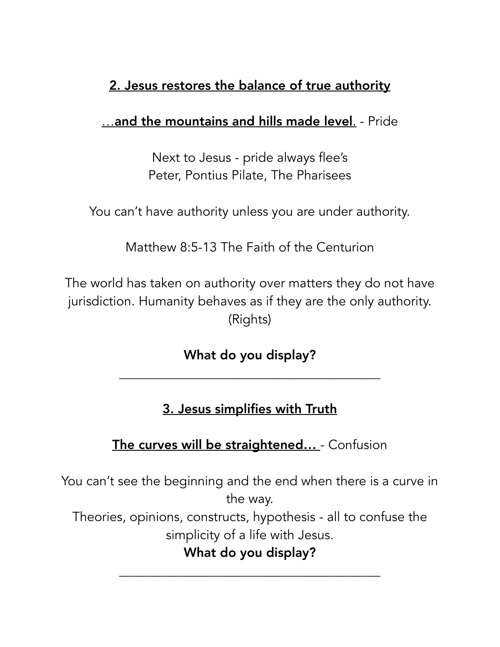# 2. Jesus restores the balance of true authority

#### …and the mountains and hills made level. - Pride

Next to Jesus - pride always flee's Peter, Pontius Pilate, The Pharisees

You can't have authority unless you are under authority.

Matthew 8:5-13 The Faith of the Centurion

The world has taken on authority over matters they do not have jurisdiction. Humanity behaves as if they are the only authority. (Rights)

What do you display?

\_\_\_\_\_\_\_\_\_\_\_\_\_\_\_\_\_\_\_\_\_\_\_\_\_\_\_\_\_\_\_\_\_\_\_\_\_\_\_\_

## 3. Jesus simplifies with Truth

### The curves will be straightened... - Confusion

You can't see the beginning and the end when there is a curve in the way.

Theories, opinions, constructs, hypothesis - all to confuse the simplicity of a life with Jesus.

## What do you display?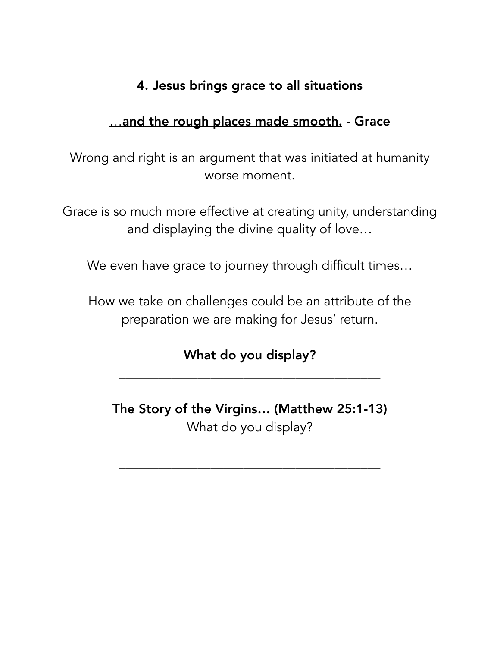### 4. Jesus brings grace to all situations

### ...and the rough places made smooth. - Grace

Wrong and right is an argument that was initiated at humanity worse moment.

Grace is so much more effective at creating unity, understanding and displaying the divine quality of love…

We even have grace to journey through difficult times...

How we take on challenges could be an attribute of the preparation we are making for Jesus' return.

## What do you display?

\_\_\_\_\_\_\_\_\_\_\_\_\_\_\_\_\_\_\_\_\_\_\_\_\_\_\_\_\_\_\_\_\_\_\_\_\_\_\_\_

The Story of the Virgins… (Matthew 25:1-13) What do you display?